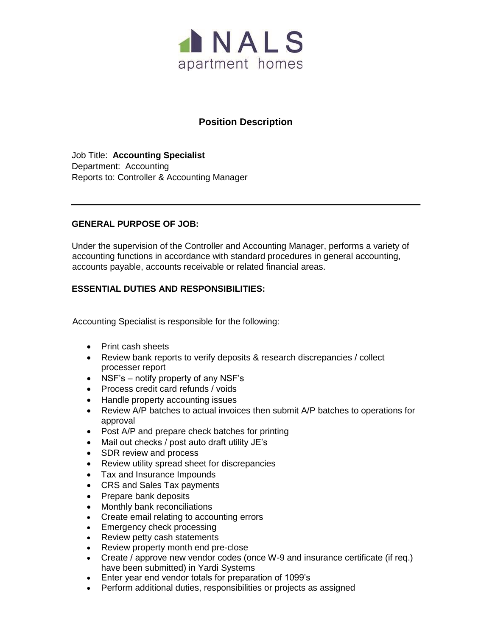

# **Position Description**

Job Title: **Accounting Specialist**  Department: Accounting Reports to: Controller & Accounting Manager

### **GENERAL PURPOSE OF JOB:**

Under the supervision of the Controller and Accounting Manager, performs a variety of accounting functions in accordance with standard procedures in general accounting, accounts payable, accounts receivable or related financial areas.

## **ESSENTIAL DUTIES AND RESPONSIBILITIES:**

Accounting Specialist is responsible for the following:

- Print cash sheets
- Review bank reports to verify deposits & research discrepancies / collect processer report
- NSF's notify property of any NSF's
- Process credit card refunds / voids
- Handle property accounting issues
- Review A/P batches to actual invoices then submit A/P batches to operations for approval
- Post A/P and prepare check batches for printing
- Mail out checks / post auto draft utility JE's
- SDR review and process
- Review utility spread sheet for discrepancies
- Tax and Insurance Impounds
- CRS and Sales Tax payments
- Prepare bank deposits
- Monthly bank reconciliations
- Create email relating to accounting errors
- Emergency check processing
- Review petty cash statements
- Review property month end pre-close
- Create / approve new vendor codes (once W-9 and insurance certificate (if req.) have been submitted) in Yardi Systems
- Enter year end vendor totals for preparation of 1099's
- Perform additional duties, responsibilities or projects as assigned